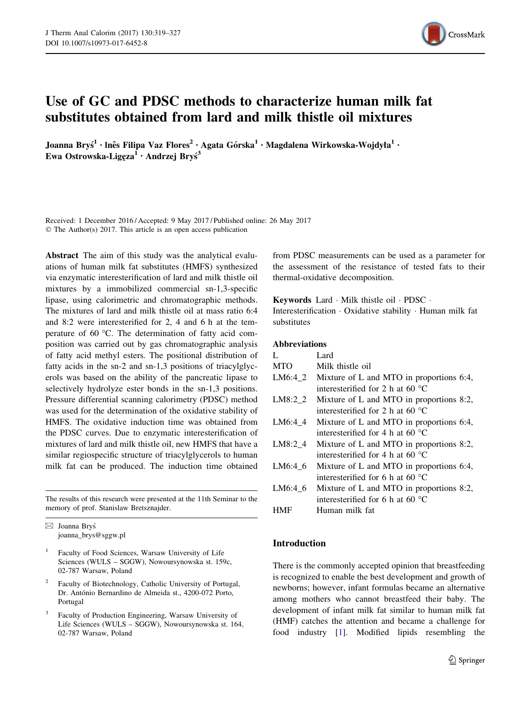

# Use of GC and PDSC methods to characterize human milk fat substitutes obtained from lard and milk thistle oil mixtures

Joanna Bryś $^1\cdot$ lnês Filipa Vaz Flores $^2\cdot$  Agata Górska $^1\cdot$ Magdalena Wirkowska-Wojdyła $^1\cdot$ Ewa Ostrowska-Ligęza<sup>1</sup> • Andrzej Bryś<sup>3</sup>

Received: 1 December 2016 / Accepted: 9 May 2017 / Published online: 26 May 2017 © The Author(s) 2017. This article is an open access publication

Abstract The aim of this study was the analytical evaluations of human milk fat substitutes (HMFS) synthesized via enzymatic interesterification of lard and milk thistle oil mixtures by a immobilized commercial sn-1,3-specific lipase, using calorimetric and chromatographic methods. The mixtures of lard and milk thistle oil at mass ratio 6:4 and 8:2 were interesterified for 2, 4 and 6 h at the temperature of 60  $^{\circ}$ C. The determination of fatty acid composition was carried out by gas chromatographic analysis of fatty acid methyl esters. The positional distribution of fatty acids in the sn-2 and sn-1,3 positions of triacylglycerols was based on the ability of the pancreatic lipase to selectively hydrolyze ester bonds in the sn-1,3 positions. Pressure differential scanning calorimetry (PDSC) method was used for the determination of the oxidative stability of HMFS. The oxidative induction time was obtained from the PDSC curves. Due to enzymatic interesterification of mixtures of lard and milk thistle oil, new HMFS that have a similar regiospecific structure of triacylglycerols to human milk fat can be produced. The induction time obtained

The results of this research were presented at the 11th Seminar to the memory of prof. Stanislaw Bretsznajder.

 $\boxtimes$  Joanna Bryś joanna\_brys@sggw.pl

- <sup>1</sup> Faculty of Food Sciences, Warsaw University of Life Sciences (WULS – SGGW), Nowoursynowska st. 159c, 02-787 Warsaw, Poland
- Faculty of Biotechnology, Catholic University of Portugal, Dr. António Bernardino de Almeida st., 4200-072 Porto, Portugal
- <sup>3</sup> Faculty of Production Engineering, Warsaw University of Life Sciences (WULS – SGGW), Nowoursynowska st. 164, 02-787 Warsaw, Poland

from PDSC measurements can be used as a parameter for the assessment of the resistance of tested fats to their thermal-oxidative decomposition.

Keywords Lard - Milk thistle oil - PDSC - Interesterification - Oxidative stability - Human milk fat substitutes

# Abbreviations

|            | Lard.                                       |
|------------|---------------------------------------------|
| <b>MTO</b> | Milk thistle oil                            |
| $LM6:4_2$  | Mixture of L and MTO in proportions $6:4$ , |
|            | interesterified for 2 h at 60 $^{\circ}$ C  |
| LM8:2 2    | Mixture of L and MTO in proportions $8:2$ , |
|            | interesterified for 2 h at 60 $^{\circ}$ C  |
| LM6:4 4    | Mixture of L and MTO in proportions $6:4$ , |
|            | interesterified for 4 h at 60 $^{\circ}$ C  |
| LM8:2 4    | Mixture of L and MTO in proportions $8:2$ , |
|            | interesterified for 4 h at 60 $^{\circ}$ C  |
| LM6:46     | Mixture of L and MTO in proportions $6:4$ , |
|            | interesterified for 6 h at 60 $^{\circ}$ C  |
| LM6:46     | Mixture of L and MTO in proportions $8:2$ , |
|            | interesterified for 6 h at 60 $^{\circ}$ C  |
|            | Human milk fat                              |

# Introduction

There is the commonly accepted opinion that breastfeeding is recognized to enable the best development and growth of newborns; however, infant formulas became an alternative among mothers who cannot breastfeed their baby. The development of infant milk fat similar to human milk fat (HMF) catches the attention and became a challenge for food industry [[1\]](#page-7-0). Modified lipids resembling the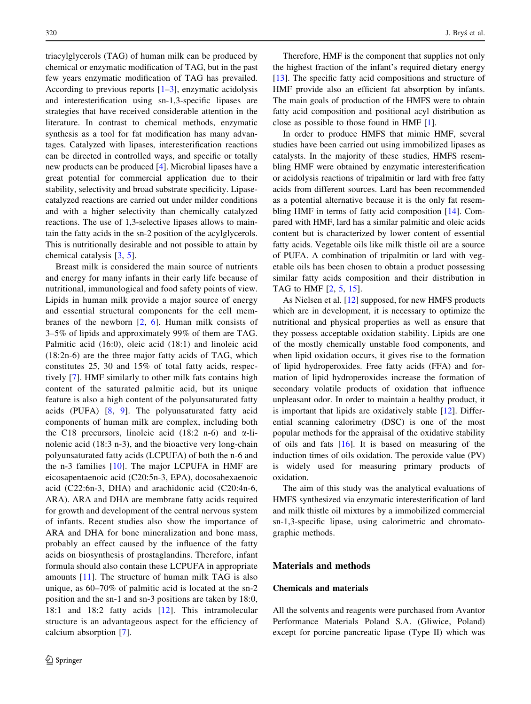triacylglycerols (TAG) of human milk can be produced by chemical or enzymatic modification of TAG, but in the past few years enzymatic modification of TAG has prevailed. According to previous reports  $[1-3]$ , enzymatic acidolysis and interesterification using sn-1,3-specific lipases are strategies that have received considerable attention in the literature. In contrast to chemical methods, enzymatic synthesis as a tool for fat modification has many advantages. Catalyzed with lipases, interesterification reactions can be directed in controlled ways, and specific or totally new products can be produced [\[4](#page-7-0)]. Microbial lipases have a great potential for commercial application due to their stability, selectivity and broad substrate specificity. Lipasecatalyzed reactions are carried out under milder conditions and with a higher selectivity than chemically catalyzed reactions. The use of 1,3-selective lipases allows to maintain the fatty acids in the sn-2 position of the acylglycerols. This is nutritionally desirable and not possible to attain by chemical catalysis [[3,](#page-7-0) [5\]](#page-7-0).

Breast milk is considered the main source of nutrients and energy for many infants in their early life because of nutritional, immunological and food safety points of view. Lipids in human milk provide a major source of energy and essential structural components for the cell membranes of the newborn  $[2, 6]$  $[2, 6]$  $[2, 6]$  $[2, 6]$ . Human milk consists of 3–5% of lipids and approximately 99% of them are TAG. Palmitic acid (16:0), oleic acid (18:1) and linoleic acid (18:2n-6) are the three major fatty acids of TAG, which constitutes 25, 30 and 15% of total fatty acids, respectively [[7](#page-7-0)]. HMF similarly to other milk fats contains high content of the saturated palmitic acid, but its unique feature is also a high content of the polyunsaturated fatty acids (PUFA) [[8](#page-7-0), [9](#page-7-0)]. The polyunsaturated fatty acid components of human milk are complex, including both the C18 precursors, linoleic acid (18:2 n-6) and  $\alpha$ -linolenic acid (18:3 n-3), and the bioactive very long-chain polyunsaturated fatty acids (LCPUFA) of both the n-6 and the n-3 families [[10\]](#page-7-0). The major LCPUFA in HMF are eicosapentaenoic acid (C20:5n-3, EPA), docosahexaenoic acid (C22:6n-3, DHA) and arachidonic acid (C20:4n-6, ARA). ARA and DHA are membrane fatty acids required for growth and development of the central nervous system of infants. Recent studies also show the importance of ARA and DHA for bone mineralization and bone mass, probably an effect caused by the influence of the fatty acids on biosynthesis of prostaglandins. Therefore, infant formula should also contain these LCPUFA in appropriate amounts [[11\]](#page-7-0). The structure of human milk TAG is also unique, as 60–70% of palmitic acid is located at the sn-2 position and the sn-1 and sn-3 positions are taken by 18:0, 18:1 and 18:2 fatty acids [[12\]](#page-7-0). This intramolecular structure is an advantageous aspect for the efficiency of calcium absorption [[7\]](#page-7-0).

Therefore, HMF is the component that supplies not only the highest fraction of the infant's required dietary energy [\[13](#page-7-0)]. The specific fatty acid compositions and structure of HMF provide also an efficient fat absorption by infants. The main goals of production of the HMFS were to obtain fatty acid composition and positional acyl distribution as close as possible to those found in HMF [\[1](#page-7-0)].

In order to produce HMFS that mimic HMF, several studies have been carried out using immobilized lipases as catalysts. In the majority of these studies, HMFS resembling HMF were obtained by enzymatic interesterification or acidolysis reactions of tripalmitin or lard with free fatty acids from different sources. Lard has been recommended as a potential alternative because it is the only fat resembling HMF in terms of fatty acid composition [\[14](#page-7-0)]. Compared with HMF, lard has a similar palmitic and oleic acids content but is characterized by lower content of essential fatty acids. Vegetable oils like milk thistle oil are a source of PUFA. A combination of tripalmitin or lard with vegetable oils has been chosen to obtain a product possessing similar fatty acids composition and their distribution in TAG to HMF [\[2](#page-7-0), [5](#page-7-0), [15\]](#page-7-0).

As Nielsen et al. [\[12](#page-7-0)] supposed, for new HMFS products which are in development, it is necessary to optimize the nutritional and physical properties as well as ensure that they possess acceptable oxidation stability. Lipids are one of the mostly chemically unstable food components, and when lipid oxidation occurs, it gives rise to the formation of lipid hydroperoxides. Free fatty acids (FFA) and formation of lipid hydroperoxides increase the formation of secondary volatile products of oxidation that influence unpleasant odor. In order to maintain a healthy product, it is important that lipids are oxidatively stable [\[12](#page-7-0)]. Differential scanning calorimetry (DSC) is one of the most popular methods for the appraisal of the oxidative stability of oils and fats  $[16]$  $[16]$ . It is based on measuring of the induction times of oils oxidation. The peroxide value (PV) is widely used for measuring primary products of oxidation.

The aim of this study was the analytical evaluations of HMFS synthesized via enzymatic interesterification of lard and milk thistle oil mixtures by a immobilized commercial sn-1,3-specific lipase, using calorimetric and chromatographic methods.

# Materials and methods

# Chemicals and materials

All the solvents and reagents were purchased from Avantor Performance Materials Poland S.A. (Gliwice, Poland) except for porcine pancreatic lipase (Type II) which was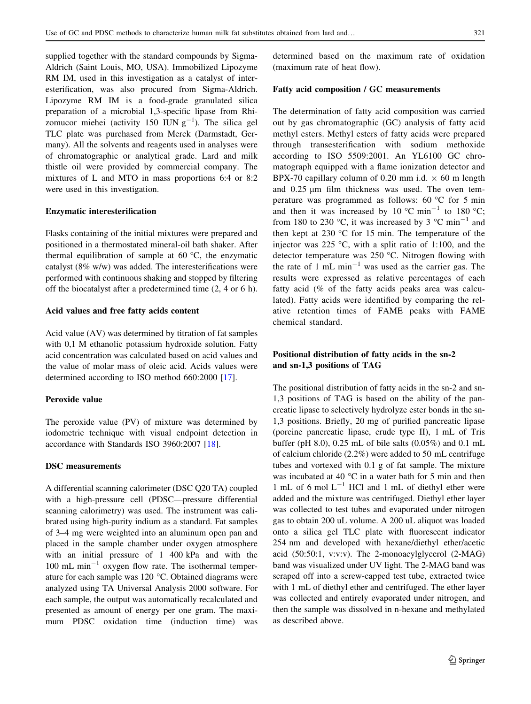supplied together with the standard compounds by Sigma-Aldrich (Saint Louis, MO, USA). Immobilized Lipozyme RM IM, used in this investigation as a catalyst of interesterification, was also procured from Sigma-Aldrich. Lipozyme RM IM is a food-grade granulated silica preparation of a microbial 1,3-specific lipase from Rhizomucor miehei (activity 150 IUN  $g^{-1}$ ). The silica gel TLC plate was purchased from Merck (Darmstadt, Germany). All the solvents and reagents used in analyses were of chromatographic or analytical grade. Lard and milk thistle oil were provided by commercial company. The mixtures of L and MTO in mass proportions 6:4 or 8:2 were used in this investigation.

#### Enzymatic interesterification

Flasks containing of the initial mixtures were prepared and positioned in a thermostated mineral-oil bath shaker. After thermal equilibration of sample at  $60^{\circ}$ C, the enzymatic catalyst (8% w/w) was added. The interesterifications were performed with continuous shaking and stopped by filtering off the biocatalyst after a predetermined time (2, 4 or 6 h).

# Acid values and free fatty acids content

Acid value (AV) was determined by titration of fat samples with 0,1 M ethanolic potassium hydroxide solution. Fatty acid concentration was calculated based on acid values and the value of molar mass of oleic acid. Acids values were determined according to ISO method 660:2000 [[17\]](#page-7-0).

# Peroxide value

The peroxide value (PV) of mixture was determined by iodometric technique with visual endpoint detection in accordance with Standards ISO 3960:2007 [\[18](#page-8-0)].

#### DSC measurements

A differential scanning calorimeter (DSC Q20 TA) coupled with a high-pressure cell (PDSC—pressure differential scanning calorimetry) was used. The instrument was calibrated using high-purity indium as a standard. Fat samples of 3–4 mg were weighted into an aluminum open pan and placed in the sample chamber under oxygen atmosphere with an initial pressure of 1 400 kPa and with the  $100 \text{ mL min}^{-1}$  oxygen flow rate. The isothermal temperature for each sample was  $120^{\circ}$ C. Obtained diagrams were analyzed using TA Universal Analysis 2000 software. For each sample, the output was automatically recalculated and presented as amount of energy per one gram. The maximum PDSC oxidation time (induction time) was determined based on the maximum rate of oxidation (maximum rate of heat flow).

#### Fatty acid composition / GC measurements

The determination of fatty acid composition was carried out by gas chromatographic (GC) analysis of fatty acid methyl esters. Methyl esters of fatty acids were prepared through transesterification with sodium methoxide according to ISO 5509:2001. An YL6100 GC chromatograph equipped with a flame ionization detector and BPX-70 capillary column of 0.20 mm i.d.  $\times$  60 m length and  $0.25 \mu m$  film thickness was used. The oven temperature was programmed as follows:  $60^{\circ}$ C for 5 min and then it was increased by 10 °C min<sup>-1</sup> to 180 °C; from 180 to 230 °C, it was increased by 3 °C min<sup>-1</sup> and then kept at 230  $\degree$ C for 15 min. The temperature of the injector was 225  $\degree$ C, with a split ratio of 1:100, and the detector temperature was  $250^{\circ}$ C. Nitrogen flowing with the rate of 1 mL  $min^{-1}$  was used as the carrier gas. The results were expressed as relative percentages of each fatty acid (% of the fatty acids peaks area was calculated). Fatty acids were identified by comparing the relative retention times of FAME peaks with FAME chemical standard.

# Positional distribution of fatty acids in the sn-2 and sn-1,3 positions of TAG

The positional distribution of fatty acids in the sn-2 and sn-1,3 positions of TAG is based on the ability of the pancreatic lipase to selectively hydrolyze ester bonds in the sn-1,3 positions. Briefly, 20 mg of purified pancreatic lipase (porcine pancreatic lipase, crude type II), 1 mL of Tris buffer (pH 8.0), 0.25 mL of bile salts (0.05%) and 0.1 mL of calcium chloride (2.2%) were added to 50 mL centrifuge tubes and vortexed with 0.1 g of fat sample. The mixture was incubated at 40  $^{\circ}$ C in a water bath for 5 min and then 1 mL of 6 mol  $L^{-1}$  HCl and 1 mL of diethyl ether were added and the mixture was centrifuged. Diethyl ether layer was collected to test tubes and evaporated under nitrogen gas to obtain 200 uL volume. A 200 uL aliquot was loaded onto a silica gel TLC plate with fluorescent indicator 254 nm and developed with hexane/diethyl ether/acetic acid (50:50:1, v:v:v). The 2-monoacylglycerol (2-MAG) band was visualized under UV light. The 2-MAG band was scraped off into a screw-capped test tube, extracted twice with 1 mL of diethyl ether and centrifuged. The ether layer was collected and entirely evaporated under nitrogen, and then the sample was dissolved in n-hexane and methylated as described above.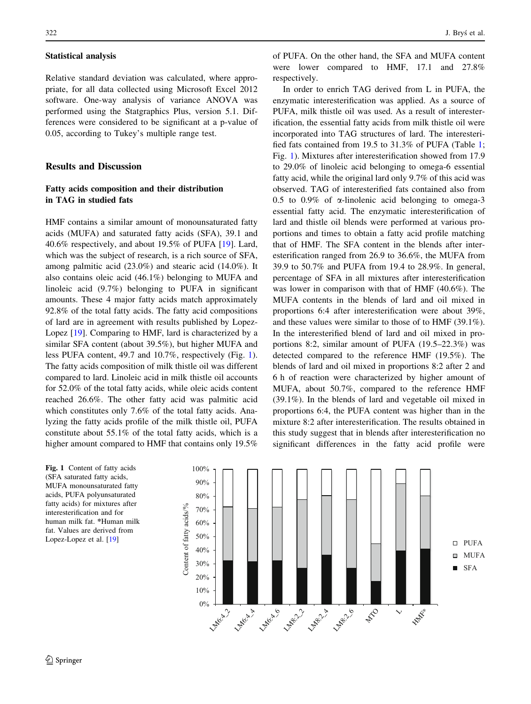#### Statistical analysis

Relative standard deviation was calculated, where appropriate, for all data collected using Microsoft Excel 2012 software. One-way analysis of variance ANOVA was performed using the Statgraphics Plus, version 5.1. Differences were considered to be significant at a p-value of 0.05, according to Tukey's multiple range test.

# Results and Discussion

# Fatty acids composition and their distribution in TAG in studied fats

HMF contains a similar amount of monounsaturated fatty acids (MUFA) and saturated fatty acids (SFA), 39.1 and 40.6% respectively, and about 19.5% of PUFA [[19\]](#page-8-0). Lard, which was the subject of research, is a rich source of SFA, among palmitic acid (23.0%) and stearic acid (14.0%). It also contains oleic acid (46.1%) belonging to MUFA and linoleic acid (9.7%) belonging to PUFA in significant amounts. These 4 major fatty acids match approximately 92.8% of the total fatty acids. The fatty acid compositions of lard are in agreement with results published by Lopez-Lopez [\[19](#page-8-0)]. Comparing to HMF, lard is characterized by a similar SFA content (about 39.5%), but higher MUFA and less PUFA content, 49.7 and 10.7%, respectively (Fig. 1). The fatty acids composition of milk thistle oil was different compared to lard. Linoleic acid in milk thistle oil accounts for 52.0% of the total fatty acids, while oleic acids content reached 26.6%. The other fatty acid was palmitic acid which constitutes only 7.6% of the total fatty acids. Analyzing the fatty acids profile of the milk thistle oil, PUFA constitute about 55.1% of the total fatty acids, which is a higher amount compared to HMF that contains only 19.5%

 $322$  J. Brys´ et al.

of PUFA. On the other hand, the SFA and MUFA content were lower compared to HMF, 17.1 and 27.8% respectively.

In order to enrich TAG derived from L in PUFA, the enzymatic interesterification was applied. As a source of PUFA, milk thistle oil was used. As a result of interesterification, the essential fatty acids from milk thistle oil were incorporated into TAG structures of lard. The interesterified fats contained from 19.5 to 31.3% of PUFA (Table [1](#page-4-0); Fig. 1). Mixtures after interesterification showed from 17.9 to 29.0% of linoleic acid belonging to omega-6 essential fatty acid, while the original lard only 9.7% of this acid was observed. TAG of interesterified fats contained also from 0.5 to 0.9% of  $\alpha$ -linolenic acid belonging to omega-3 essential fatty acid. The enzymatic interesterification of lard and thistle oil blends were performed at various proportions and times to obtain a fatty acid profile matching that of HMF. The SFA content in the blends after interesterification ranged from 26.9 to 36.6%, the MUFA from 39.9 to 50.7% and PUFA from 19.4 to 28.9%. In general, percentage of SFA in all mixtures after interesterification was lower in comparison with that of HMF (40.6%). The MUFA contents in the blends of lard and oil mixed in proportions 6:4 after interesterification were about 39%, and these values were similar to those of to HMF (39.1%). In the interesterified blend of lard and oil mixed in proportions 8:2, similar amount of PUFA (19.5–22.3%) was detected compared to the reference HMF (19.5%). The blends of lard and oil mixed in proportions 8:2 after 2 and 6 h of reaction were characterized by higher amount of MUFA, about 50.7%, compared to the reference HMF (39.1%). In the blends of lard and vegetable oil mixed in proportions 6:4, the PUFA content was higher than in the mixture 8:2 after interesterification. The results obtained in this study suggest that in blends after interesterification no significant differences in the fatty acid profile were

Fig. 1 Content of fatty acids (SFA saturated fatty acids, MUFA monounsaturated fatty acids, PUFA polyunsaturated fatty acids) for mixtures after interesterification and for human milk fat. \*Human milk fat. Values are derived from Lopez-Lopez et al. [\[19\]](#page-8-0)

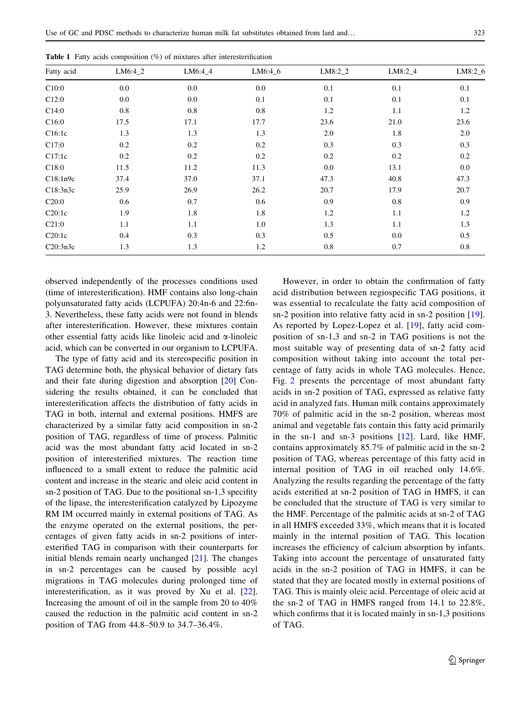| Fatty acid | $LM6:4_2$ | $LM6:4_4$ | $LM6:4_6$ | $LM8:2_2$ | $LM8:2_4$ | $LM8:2_6$ |
|------------|-----------|-----------|-----------|-----------|-----------|-----------|
| C10:0      | 0.0       | 0.0       | 0.0       | 0.1       | 0.1       | 0.1       |
| C12:0      | 0.0       | 0.0       | 0.1       | 0.1       | 0.1       | 0.1       |
| C14:0      | 0.8       | 0.8       | 0.8       | 1.2       | 1.1       | 1.2       |
| C16:0      | 17.5      | 17.1      | 17.7      | 23.6      | 21.0      | 23.6      |
| C16:1c     | 1.3       | 1.3       | 1.3       | 2.0       | 1.8       | 2.0       |
| C17:0      | 0.2       | 0.2       | 0.2       | 0.3       | 0.3       | 0.3       |
| C17:1c     | 0.2       | 0.2       | 0.2       | 0.2       | 0.2       | 0.2       |
| C18:0      | 11.5      | 11.2      | 11.3      | 0.0       | 13.1      | 0.0       |
| C18:1n9c   | 37.4      | 37.0      | 37.1      | 47.3      | 40.8      | 47.3      |
| C18:3n3c   | 25.9      | 26.9      | 26.2      | 20.7      | 17.9      | 20.7      |
| C20:0      | 0.6       | 0.7       | 0.6       | 0.9       | 0.8       | 0.9       |
| C20:1c     | 1.9       | 1.8       | 1.8       | 1.2       | 1.1       | 1.2       |
| C21:0      | 1.1       | 1.1       | 1.0       | 1.3       | 1.1       | 1.3       |
| C20:1c     | 0.4       | 0.3       | 0.3       | 0.5       | 0.0       | 0.5       |
| C20:3n3c   | 1.3       | 1.3       | 1.2       | 0.8       | 0.7       | 0.8       |

<span id="page-4-0"></span>**Table 1** Fatty acids composition  $(\%)$  of mixtures after interesterification

observed independently of the processes conditions used (time of interesterification). HMF contains also long-chain polyunsaturated fatty acids (LCPUFA) 20:4n-6 and 22:6n-3. Nevertheless, these fatty acids were not found in blends after interesterification. However, these mixtures contain other essential fatty acids like linoleic acid and  $\alpha$ -linoleic acid, which can be converted in our organism to LCPUFA.

The type of fatty acid and its stereospecific position in TAG determine both, the physical behavior of dietary fats and their fate during digestion and absorption [[20\]](#page-8-0) Considering the results obtained, it can be concluded that interesterification affects the distribution of fatty acids in TAG in both, internal and external positions. HMFS are characterized by a similar fatty acid composition in sn-2 position of TAG, regardless of time of process. Palmitic acid was the most abundant fatty acid located in sn-2 position of interesterified mixtures. The reaction time influenced to a small extent to reduce the palmitic acid content and increase in the stearic and oleic acid content in sn-2 position of TAG. Due to the positional sn-1,3 specifity of the lipase, the interesterification catalyzed by Lipozyme RM IM occurred mainly in external positions of TAG. As the enzyme operated on the external positions, the percentages of given fatty acids in sn-2 positions of interesterified TAG in comparison with their counterparts for initial blends remain nearly unchanged [\[21](#page-8-0)]. The changes in sn-2 percentages can be caused by possible acyl migrations in TAG molecules during prolonged time of interesterification, as it was proved by Xu et al. [\[22](#page-8-0)]. Increasing the amount of oil in the sample from 20 to 40% caused the reduction in the palmitic acid content in sn-2 position of TAG from 44.8–50.9 to 34.7–36.4%.

However, in order to obtain the confirmation of fatty acid distribution between regiospecific TAG positions, it was essential to recalculate the fatty acid composition of sn-2 position into relative fatty acid in sn-2 position [\[19](#page-8-0)]. As reported by Lopez-Lopez et al. [[19\]](#page-8-0), fatty acid composition of sn-1,3 and sn-2 in TAG positions is not the most suitable way of presenting data of sn-2 fatty acid composition without taking into account the total percentage of fatty acids in whole TAG molecules. Hence, Fig. [2](#page-5-0) presents the percentage of most abundant fatty acids in sn-2 position of TAG, expressed as relative fatty acid in analyzed fats. Human milk contains approximately 70% of palmitic acid in the sn-2 position, whereas most animal and vegetable fats contain this fatty acid primarily in the sn-1 and sn-3 positions [[12](#page-7-0)]. Lard, like HMF, contains approximately 85.7% of palmitic acid in the sn-2 position of TAG, whereas percentage of this fatty acid in internal position of TAG in oil reached only 14.6%. Analyzing the results regarding the percentage of the fatty acids esterified at sn-2 position of TAG in HMFS, it can be concluded that the structure of TAG is very similar to the HMF. Percentage of the palmitic acids at sn-2 of TAG in all HMFS exceeded 33%, which means that it is located mainly in the internal position of TAG. This location increases the efficiency of calcium absorption by infants. Taking into account the percentage of unsaturated fatty acids in the sn-2 position of TAG in HMFS, it can be stated that they are located mostly in external positions of TAG. This is mainly oleic acid. Percentage of oleic acid at the sn-2 of TAG in HMFS ranged from 14.1 to 22.8%, which confirms that it is located mainly in sn-1,3 positions of TAG.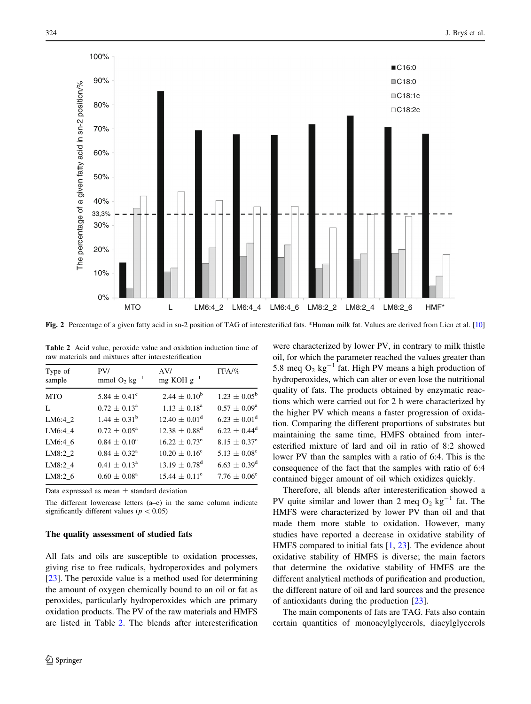<span id="page-5-0"></span>

Fig. 2 Percentage of a given fatty acid in sn-2 position of TAG of interesterified fats. \*Human milk fat. Values are derived from Lien et al. [[10](#page-7-0)]

|  |  |                                                      | <b>Table 2</b> Acid value, peroxide value and oxidation induction time of |  |
|--|--|------------------------------------------------------|---------------------------------------------------------------------------|--|
|  |  | raw materials and mixtures after interesterification |                                                                           |  |
|  |  |                                                      |                                                                           |  |

| mg KOH $g^{-1}$<br>mmol $O_2$ kg <sup>-1</sup><br>sample                                     |  |
|----------------------------------------------------------------------------------------------|--|
| $1.23 \pm 0.05^{\rm b}$<br>$2.44 \pm 0.10^b$<br>5.84 $\pm$ 0.41 <sup>c</sup><br><b>MTO</b>   |  |
| $0.57 \pm 0.09^{\rm a}$<br>$1.13 \pm 0.18^{\text{a}}$<br>$0.72 \pm 0.13^{\text{a}}$<br>L     |  |
| $6.23 \pm 0.01^d$<br>$1.44 \pm 0.31^{\rm b}$<br>$12.40 \pm 0.01^{\rm d}$<br>LM6:4 2          |  |
| $6.22 \pm 0.44^d$<br>$12.38 \pm 0.88^d$<br>$0.72 \pm 0.05^{\text{a}}$<br>LM6:4 4             |  |
| $8.15 \pm 0.37^e$<br>$16.22 \pm 0.73^e$<br>$0.84 \pm 0.10^a$<br>LM6:4 6                      |  |
| $5.13 \pm 0.08^{\circ}$<br>LM8:2 2<br>$0.84 \pm 0.32^{\text{a}}$<br>$10.20 \pm 0.16^{\circ}$ |  |
| $6.63 \pm 0.39^d$<br>$13.19 \pm 0.78$ <sup>d</sup><br>$0.41 \pm 0.13^{\circ}$<br>LM8:2 4     |  |
| $7.76 \pm 0.06^{\circ}$<br>LM8:2 6<br>$15.44 \pm 0.11^{\circ}$<br>$0.60 \pm 0.08^{\text{a}}$ |  |

Data expressed as mean  $\pm$  standard deviation

The different lowercase letters (a–e) in the same column indicate significantly different values ( $p < 0.05$ )

#### The quality assessment of studied fats

All fats and oils are susceptible to oxidation processes, giving rise to free radicals, hydroperoxides and polymers [\[23](#page-8-0)]. The peroxide value is a method used for determining the amount of oxygen chemically bound to an oil or fat as peroxides, particularly hydroperoxides which are primary oxidation products. The PV of the raw materials and HMFS are listed in Table 2. The blends after interesterification were characterized by lower PV, in contrary to milk thistle oil, for which the parameter reached the values greater than 5.8 meq  $O_2$  kg<sup>-1</sup> fat. High PV means a high production of hydroperoxides, which can alter or even lose the nutritional quality of fats. The products obtained by enzymatic reactions which were carried out for 2 h were characterized by the higher PV which means a faster progression of oxidation. Comparing the different proportions of substrates but maintaining the same time, HMFS obtained from interesterified mixture of lard and oil in ratio of 8:2 showed lower PV than the samples with a ratio of 6:4. This is the consequence of the fact that the samples with ratio of 6:4 contained bigger amount of oil which oxidizes quickly.

Therefore, all blends after interesterification showed a PV quite similar and lower than 2 meq  $O_2$  kg<sup>-1</sup> fat. The HMFS were characterized by lower PV than oil and that made them more stable to oxidation. However, many studies have reported a decrease in oxidative stability of HMFS compared to initial fats [[1](#page-7-0), [23](#page-8-0)]. The evidence about oxidative stability of HMFS is diverse; the main factors that determine the oxidative stability of HMFS are the different analytical methods of purification and production, the different nature of oil and lard sources and the presence of antioxidants during the production [\[23](#page-8-0)].

The main components of fats are TAG. Fats also contain certain quantities of monoacylglycerols, diacylglycerols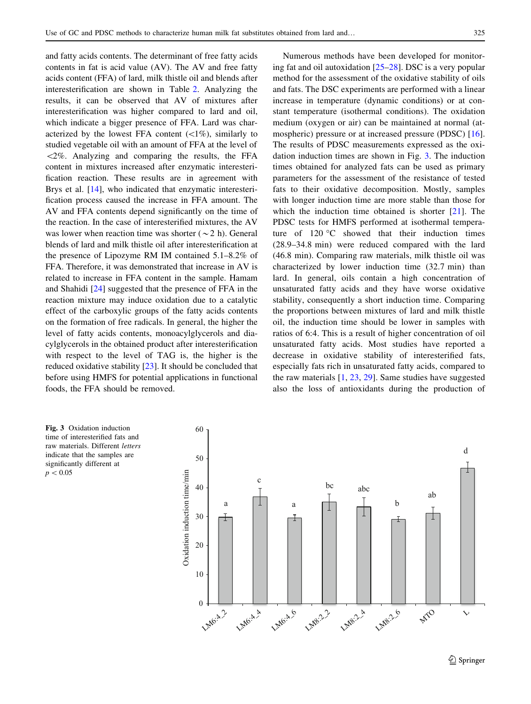and fatty acids contents. The determinant of free fatty acids contents in fat is acid value (AV). The AV and free fatty acids content (FFA) of lard, milk thistle oil and blends after interesterification are shown in Table [2](#page-5-0). Analyzing the results, it can be observed that AV of mixtures after interesterification was higher compared to lard and oil, which indicate a bigger presence of FFA. Lard was characterized by the lowest FFA content  $(\langle 1\% \rangle)$ , similarly to studied vegetable oil with an amount of FFA at the level of  $\langle 2\%$ . Analyzing and comparing the results, the FFA content in mixtures increased after enzymatic interesterification reaction. These results are in agreement with Brys et al. [\[14](#page-7-0)], who indicated that enzymatic interesterification process caused the increase in FFA amount. The AV and FFA contents depend significantly on the time of the reaction. In the case of interesterified mixtures, the AV was lower when reaction time was shorter ( $\sim$ 2 h). General blends of lard and milk thistle oil after interesterification at the presence of Lipozyme RM IM contained 5.1–8.2% of FFA. Therefore, it was demonstrated that increase in AV is related to increase in FFA content in the sample. Hamam and Shahidi [[24\]](#page-8-0) suggested that the presence of FFA in the reaction mixture may induce oxidation due to a catalytic effect of the carboxylic groups of the fatty acids contents on the formation of free radicals. In general, the higher the level of fatty acids contents, monoacylglycerols and diacylglycerols in the obtained product after interesterification with respect to the level of TAG is, the higher is the reduced oxidative stability [[23\]](#page-8-0). It should be concluded that before using HMFS for potential applications in functional foods, the FFA should be removed.

Numerous methods have been developed for monitoring fat and oil autoxidation [\[25](#page-8-0)–[28\]](#page-8-0). DSC is a very popular method for the assessment of the oxidative stability of oils and fats. The DSC experiments are performed with a linear increase in temperature (dynamic conditions) or at constant temperature (isothermal conditions). The oxidation medium (oxygen or air) can be maintained at normal (atmospheric) pressure or at increased pressure (PDSC) [\[16](#page-7-0)]. The results of PDSC measurements expressed as the oxidation induction times are shown in Fig. 3. The induction times obtained for analyzed fats can be used as primary parameters for the assessment of the resistance of tested fats to their oxidative decomposition. Mostly, samples with longer induction time are more stable than those for which the induction time obtained is shorter [[21\]](#page-8-0). The PDSC tests for HMFS performed at isothermal temperature of  $120 °C$  showed that their induction times (28.9–34.8 min) were reduced compared with the lard (46.8 min). Comparing raw materials, milk thistle oil was characterized by lower induction time (32.7 min) than lard. In general, oils contain a high concentration of unsaturated fatty acids and they have worse oxidative stability, consequently a short induction time. Comparing the proportions between mixtures of lard and milk thistle oil, the induction time should be lower in samples with ratios of 6:4. This is a result of higher concentration of oil unsaturated fatty acids. Most studies have reported a decrease in oxidative stability of interesterified fats, especially fats rich in unsaturated fatty acids, compared to the raw materials  $[1, 23, 29]$  $[1, 23, 29]$  $[1, 23, 29]$  $[1, 23, 29]$  $[1, 23, 29]$  $[1, 23, 29]$ . Same studies have suggested also the loss of antioxidants during the production of

Fig. 3 Oxidation induction time of interesterified fats and raw materials. Different letters indicate that the samples are significantly different at  $p < 0.05$ 

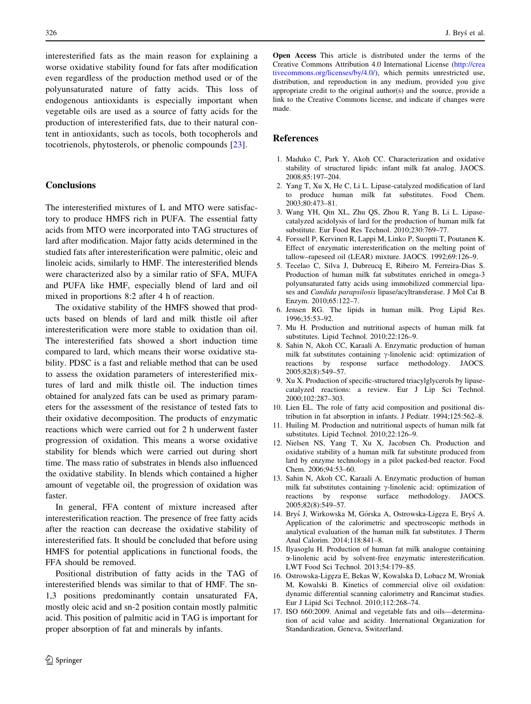<span id="page-7-0"></span>interesterified fats as the main reason for explaining a worse oxidative stability found for fats after modification even regardless of the production method used or of the polyunsaturated nature of fatty acids. This loss of endogenous antioxidants is especially important when vegetable oils are used as a source of fatty acids for the production of interesterified fats, due to their natural content in antioxidants, such as tocols, both tocopherols and tocotrienols, phytosterols, or phenolic compounds [[23\]](#page-8-0).

# **Conclusions**

The interesterified mixtures of L and MTO were satisfactory to produce HMFS rich in PUFA. The essential fatty acids from MTO were incorporated into TAG structures of lard after modification. Major fatty acids determined in the studied fats after interesterification were palmitic, oleic and linoleic acids, similarly to HMF. The interesterified blends were characterized also by a similar ratio of SFA, MUFA and PUFA like HMF, especially blend of lard and oil mixed in proportions 8:2 after 4 h of reaction.

The oxidative stability of the HMFS showed that products based on blends of lard and milk thistle oil after interesterification were more stable to oxidation than oil. The interesterified fats showed a short induction time compared to lard, which means their worse oxidative stability. PDSC is a fast and reliable method that can be used to assess the oxidation parameters of interesterified mixtures of lard and milk thistle oil. The induction times obtained for analyzed fats can be used as primary parameters for the assessment of the resistance of tested fats to their oxidative decomposition. The products of enzymatic reactions which were carried out for 2 h underwent faster progression of oxidation. This means a worse oxidative stability for blends which were carried out during short time. The mass ratio of substrates in blends also influenced the oxidative stability. In blends which contained a higher amount of vegetable oil, the progression of oxidation was faster.

In general, FFA content of mixture increased after interesterification reaction. The presence of free fatty acids after the reaction can decrease the oxidative stability of interesterified fats. It should be concluded that before using HMFS for potential applications in functional foods, the FFA should be removed.

Positional distribution of fatty acids in the TAG of interesterified blends was similar to that of HMF. The sn-1,3 positions predominantly contain unsaturated FA, mostly oleic acid and sn-2 position contain mostly palmitic acid. This position of palmitic acid in TAG is important for proper absorption of fat and minerals by infants.

Open Access This article is distributed under the terms of the Creative Commons Attribution 4.0 International License ([http://crea](http://creativecommons.org/licenses/by/4.0/) [tivecommons.org/licenses/by/4.0/\)](http://creativecommons.org/licenses/by/4.0/), which permits unrestricted use, distribution, and reproduction in any medium, provided you give appropriate credit to the original author(s) and the source, provide a link to the Creative Commons license, and indicate if changes were made.

# References

- 1. Maduko C, Park Y, Akoh CC. Characterization and oxidative stability of structured lipids: infant milk fat analog. JAOCS. 2008;85:197–204.
- 2. Yang T, Xu X, He C, Li L. Lipase-catalyzed modification of lard to produce human milk fat substitutes. Food Chem. 2003;80:473–81.
- 3. Wang YH, Qin XL, Zhu QS, Zhou R, Yang B, Li L. Lipasecatalyzed acidolysis of lard for the production of human milk fat substitute. Eur Food Res Technol. 2010;230:769–77.
- 4. Forssell P, Kervinen R, Lappi M, Linko P, Suoptti T, Poutanen K. Effect of enzymatic interesterification on the melting point of tallow–rapeseed oil (LEAR) mixture. JAOCS. 1992;69:126–9.
- 5. Tecelao C, Silva J, Dubreucq E, Ribeiro M, Ferreira-Dias S. Production of human milk fat substitutes enriched in omega-3 polyunsaturated fatty acids using immobilized commercial lipases and Candida parapsilosis lipase/acyltransferase. J Mol Cat B Enzym. 2010;65:122–7.
- 6. Jensen RG. The lipids in human milk. Prog Lipid Res. 1996;35:53–92.
- 7. Mu H. Production and nutritional aspects of human milk fat substitutes. Lipid Technol. 2010;22:126–9.
- 8. Sahin N, Akoh CC, Karaali A. Enzymatic production of human milk fat substitutes containing  $\gamma$ -linolenic acid: optimization of reactions by response surface methodology. JAOCS. 2005;82(8):549–57.
- 9. Xu X. Production of specific-structured triacylglycerols by lipasecatalyzed reactions: a review. Eur J Lip Sci Technol. 2000;102:287–303.
- 10. Lien EL. The role of fatty acid composition and positional distribution in fat absorption in infants. J Pediatr. 1994;125:562–8.
- 11. Huiling M. Production and nutritional aspects of human milk fat substitutes. Lipid Technol. 2010;22:126–9.
- 12. Nielsen NS, Yang T, Xu X, Jacobsen Ch. Production and oxidative stability of a human milk fat substitute produced from lard by enzyme technology in a pilot packed-bed reactor. Food Chem. 2006;94:53–60.
- 13. Sahin N, Akoh CC, Karaali A. Enzymatic production of human milk fat substitutes containing  $\gamma$ -linolenic acid: optimization of reactions by response surface methodology. JAOCS. 2005;82(8):549–57.
- 14. Bryś J, Wirkowska M, Górska A, Ostrowska-Ligeza E, Bryś A. Application of the calorimetric and spectroscopic methods in analytical evaluation of the human milk fat substitutes. J Therm Anal Calorim. 2014;118:841–8.
- 15. Ilyasoglu H. Production of human fat milk analogue containing a-linolenic acid by solvent-free enzymatic interesterification. LWT Food Sci Technol. 2013;54:179–85.
- 16. Ostrowska-Lige˛za E, Bekas W, Kowalska D, Lobacz M, Wroniak M, Kowalski B. Kinetics of commercial olive oil oxidation: dynamic differential scanning calorimetry and Rancimat studies. Eur J Lipid Sci Technol. 2010;112:268–74.
- 17. ISO 660:2009. Animal and vegetable fats and oils—determination of acid value and acidity. International Organization for Standardization, Geneva, Switzerland.